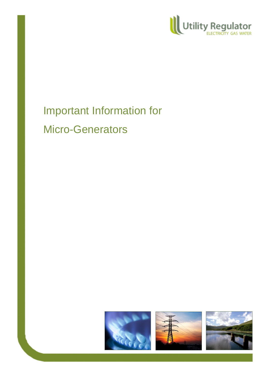

# Important Information for Micro-Generators





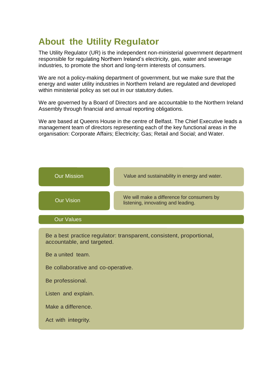# **About the Utility Regulator**

The Utility Regulator (UR) is the independent non-ministerial government department responsible for regulating Northern Ireland's electricity, gas, water and sewerage industries, to promote the short and long-term interests of consumers.

We are not a policy-making department of government, but we make sure that the energy and water utility industries in Northern Ireland are regulated and developed within ministerial policy as set out in our statutory duties.

We are governed by a Board of Directors and are accountable to the Northern Ireland Assembly through financial and annual reporting obligations.

We are based at Queens House in the centre of Belfast. The Chief Executive leads a management team of directors representing each of the key functional areas in the organisation: Corporate Affairs; Electricity; Gas; Retail and Social; and Water.

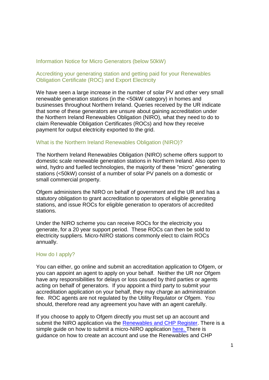## Information Notice for Micro Generators (below 50kW)

## Accrediting your generating station and getting paid for your Renewables Obligation Certificate (ROC) and Export Electricity

We have seen a large increase in the number of solar PV and other very small renewable generation stations (in the <50kW category) in homes and businesses throughout Northern Ireland. Queries received by the UR indicate that some of these generators are unsure about gaining accreditation under the Northern Ireland Renewables Obligation (NIRO), what they need to do to claim Renewable Obligation Certificates (ROCs) and how they receive payment for output electricity exported to the grid.

#### What is the Northern Ireland Renewables Obligation (NIRO)?

The Northern Ireland Renewables Obligation (NIRO) scheme offers support to domestic scale renewable generation stations in Northern Ireland. Also open to wind, hydro and fuelled technologies, the majority of these "micro" generating stations (<50kW) consist of a number of solar PV panels on a domestic or small commercial property.

Ofgem administers the NIRO on behalf of government and the UR and has a statutory obligation to grant accreditation to operators of eligible generating stations, and issue ROCs for eligible generation to operators of accredited stations.

Under the NIRO scheme you can receive ROCs for the electricity you generate, for a 20 year support period. These ROCs can then be sold to electricity suppliers. Micro-NIRO stations commonly elect to claim ROCs annually.

#### How do I apply?

You can either, go online and submit an accreditation application to Ofgem, or you can appoint an agent to apply on your behalf. Neither the UR nor Ofgem have any responsibilities for delays or loss caused by third parties or agents acting on behalf of generators. If you appoint a third party to submit your accreditation application on your behalf, they may charge an administration fee. ROC agents are not regulated by the Utility Regulator or Ofgem. You should, therefore read any agreement you have with an agent carefully.

If you choose to apply to Ofgem directly you must set up an account and submit the NIRO application via the [Renewables and CHP Register.](https://renewablesandchp.ofgem.gov.uk/) There is a simple guide on how to submit a micro-NIRO application [here.](https://www.ofgem.gov.uk/publications-and-updates/applying-northern-ireland-renewables-obligation-step-step-guide) There is guidance on how to create an account and use the Renewables and CHP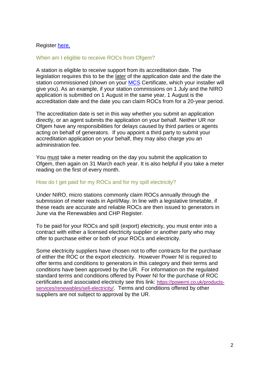# Register [here.](https://www.ofgem.gov.uk/publications-and-updates/renewables-and-chp-register-user-guide-april-2015)

#### When am I eligible to receive ROCs from Ofgem?

A station is eligible to receive support from its accreditation date. The legislation requires this to be the later of the application date and the date the station commissioned (shown on your [MCS](http://www.microgenerationcertification.org/) Certificate, which your installer will give you). As an example, if your station commissions on 1 July and the NIRO application is submitted on 1 August in the same year, 1 August is the accreditation date and the date you can claim ROCs from for a 20-year period.

The accreditation date is set in this way whether you submit an application directly, or an agent submits the application on your behalf. Neither UR nor Ofgem have any responsibilities for delays caused by third parties or agents acting on behalf of generators. If you appoint a third party to submit your accreditation application on your behalf, they may also charge you an administration fee.

You must take a meter reading on the day you submit the application to Ofgem, then again on 31 March each year. It is also helpful if you take a meter reading on the first of every month.

#### How do I get paid for my ROCs and for my spill electricity?

Under NIRO, micro stations commonly claim ROCs annually through the submission of meter reads in April/May. In line with a legislative timetable, if these reads are accurate and reliable ROCs are then issued to generators in June via the Renewables and CHP Register.

To be paid for your ROCs and spill (export) electricity, you must enter into a contract with either a licensed electricity supplier or another party who may offer to purchase either or both of your ROCs and electricity.

Some electricity suppliers have chosen not to offer contracts for the purchase of either the ROC or the export electricity. However Power NI is required to offer terms and conditions to generators in this category and their terms and conditions have been approved by the UR. For information on the regulated standard terms and conditions offered by Power NI for the purchase of ROC certificates and associated electricity see this link: [https://powerni.co.uk/products](https://powerni.co.uk/products-services/renewables/sell-electricity/)[services/renewables/sell-electricity/](https://powerni.co.uk/products-services/renewables/sell-electricity/). Terms and conditions offered by other suppliers are not subject to approval by the UR.